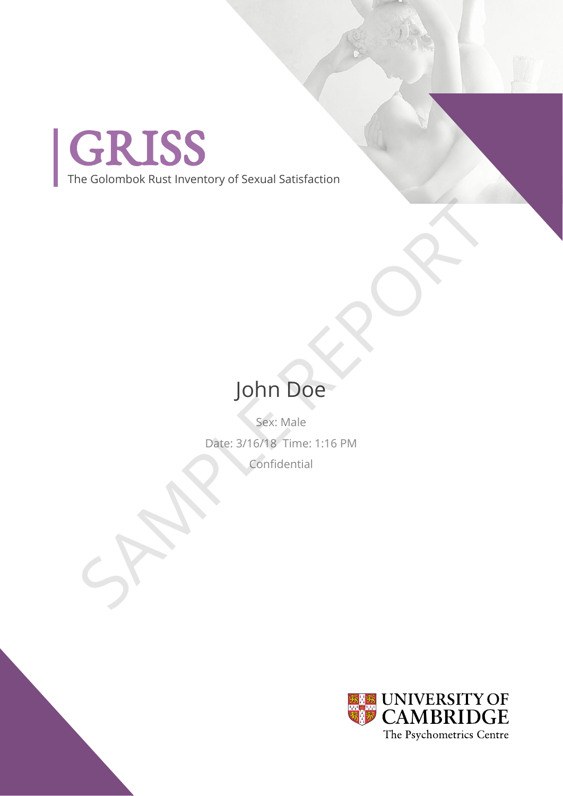

The Golombok Rust Inventory of Sexual Satisfaction

## John Doe

Sex: Male Date: 3/16/18 Time: 1:16 PM Confidential John Doe

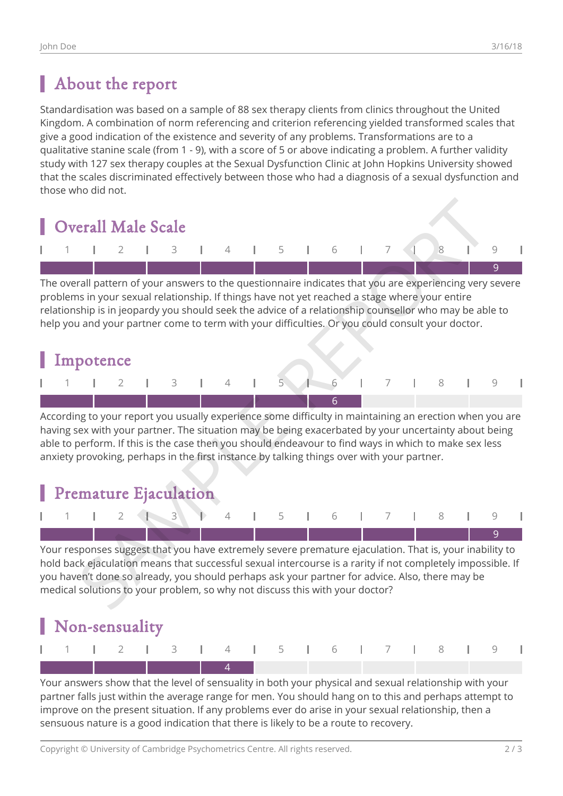### About the report

Standardisation was based on a sample of 88 sex therapy clients from clinics throughout the United Kingdom. A combination of norm referencing and criterion referencing yielded transformed scales that give a good indication of the existence and severity of any problems. Transformations are to a qualitative stanine scale (from 1 - 9), with a score of 5 or above indicating a problem. A further validity study with 127 sex therapy couples at the Sexual Dysfunction Clinic at John Hopkins University showed that the scales discriminated effectively between those who had a diagnosis of a sexual dysfunction and those who did not.



The overall pattern of your answers to the questionnaire indicates that you are experiencing very severe problems in your sexual relationship. If things have not yet reached a stage where your entire relationship is in jeopardy you should seek the advice of a relationship counsellor who may be able to help you and your partner come to term with your difficulties. Or you could consult your doctor.



According to your report you usually experience some difficulty in maintaining an erection when you are having sex with your partner. The situation may be being exacerbated by your uncertainty about being able to perform. If this is the case then you should endeavour to find ways in which to make sex less anxiety provoking, perhaps in the first instance by talking things over with your partner.

#### Premature Ejaculation



Your responses suggest that you have extremely severe premature ejaculation. That is, your inability to hold back ejaculation means that successful sexual intercourse is a rarity if not completely impossible. If you haven't done so already, you should perhaps ask your partner for advice. Also, there may be medical solutions to your problem, so why not discuss this with your doctor?



Your answers show that the level of sensuality in both your physical and sexual relationship with your partner falls just within the average range for men. You should hang on to this and perhaps attempt to improve on the present situation. If any problems ever do arise in your sexual relationship, then a sensuous nature is a good indication that there is likely to be a route to recovery.